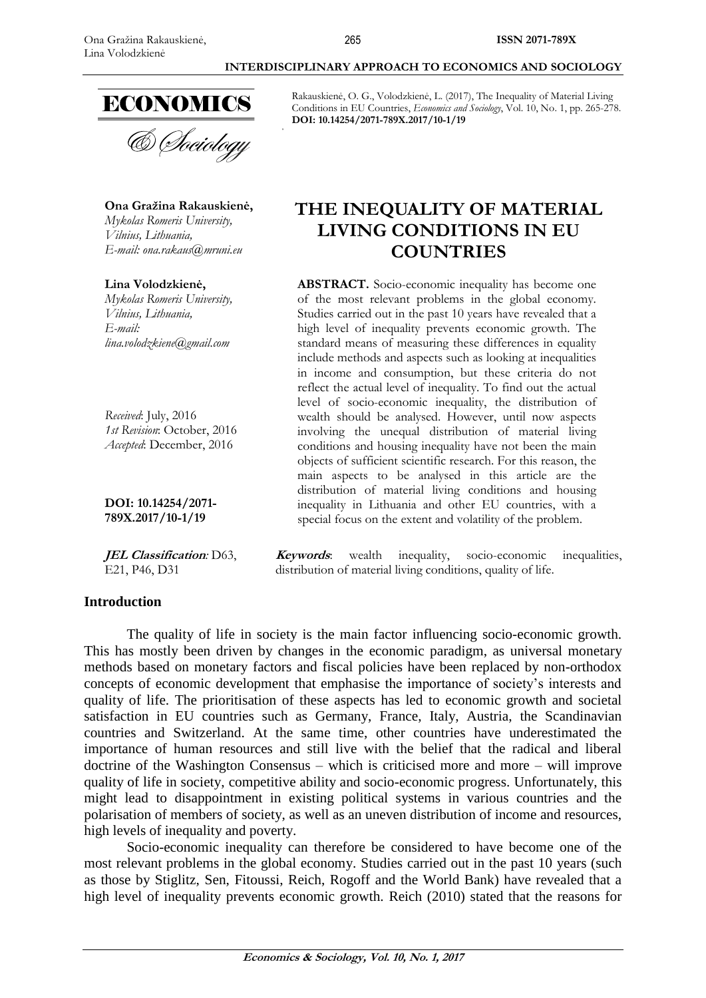

Rakauskienė, O. G., Volodzkienė, L. (2017), The Inequality of Material Living Conditions in EU Countries, *Economics and Sociology*, Vol. 10, No. 1, pp. 265-278. **DOI: 10.14254/2071-789X.2017/10-1/19**

# **THE INEQUALITY OF MATERIAL LIVING CONDITIONS IN EU COUNTRIES**

**ABSTRACT.** Socio-economic inequality has become one of the most relevant problems in the global economy. Studies carried out in the past 10 years have revealed that a high level of inequality prevents economic growth. The standard means of measuring these differences in equality include methods and aspects such as looking at inequalities in income and consumption, but these criteria do not reflect the actual level of inequality. To find out the actual level of socio-economic inequality, the distribution of wealth should be analysed. However, until now aspects involving the unequal distribution of material living conditions and housing inequality have not been the main objects of sufficient scientific research. For this reason, the main aspects to be analysed in this article are the distribution of material living conditions and housing inequality in Lithuania and other EU countries, with a special focus on the extent and volatility of the problem.

**Keywords**: wealth inequality, socio-economic inequalities, distribution of material living conditions, quality of life.

**Ona Gražina Rakauskienė,** *Mykolas Romeris University, Vilnius, Lithuania, E-mail: ona.rakaus@mruni.eu*

**Lina Volodzkienė,**

*Mykolas Romeris University, Vilnius, Lithuania, E-mail: [lina.volodzkiene@gmail.com](mailto:lina.volodzkiene@gmail.com)*

*Received*: July, 2016 *1st Revision*: October, 2016 *Accepted*: December, 2016

**DOI: 10.14254/2071- 789X.2017/10-1/19**

**JEL Classification***:* D63, E21, P46, D31

### **Introduction**

The quality of life in society is the main factor influencing socio-economic growth. This has mostly been driven by changes in the economic paradigm, as universal monetary methods based on monetary factors and fiscal policies have been replaced by non-orthodox concepts of economic development that emphasise the importance of society's interests and quality of life. The prioritisation of these aspects has led to economic growth and societal satisfaction in EU countries such as Germany, France, Italy, Austria, the Scandinavian countries and Switzerland. At the same time, other countries have underestimated the importance of human resources and still live with the belief that the radical and liberal doctrine of the Washington Consensus – which is criticised more and more – will improve quality of life in society, competitive ability and socio-economic progress. Unfortunately, this might lead to disappointment in existing political systems in various countries and the polarisation of members of society, as well as an uneven distribution of income and resources, high levels of inequality and poverty.

Socio-economic inequality can therefore be considered to have become one of the most relevant problems in the global economy. Studies carried out in the past 10 years (such as those by Stiglitz, Sen, Fitoussi, Reich, Rogoff and the World Bank) have revealed that a high level of inequality prevents economic growth. Reich (2010) stated that the reasons for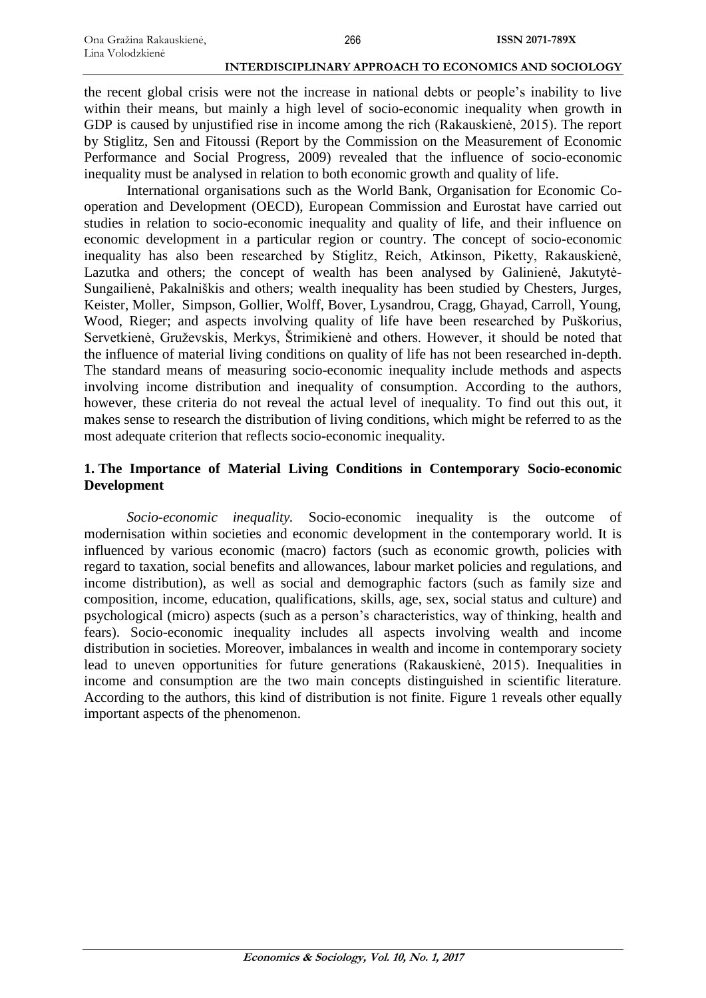the recent global crisis were not the increase in national debts or people's inability to live within their means, but mainly a high level of socio-economic inequality when growth in GDP is caused by unjustified rise in income among the rich (Rakauskienė, 2015). The report by Stiglitz, Sen and Fitoussi (Report by the Commission on the Measurement of Economic Performance and Social Progress, 2009) revealed that the influence of socio-economic inequality must be analysed in relation to both economic growth and quality of life.

International organisations such as the World Bank, Organisation for Economic Cooperation and Development (OECD), European Commission and Eurostat have carried out studies in relation to socio-economic inequality and quality of life, and their influence on economic development in a particular region or country. The concept of socio-economic inequality has also been researched by Stiglitz, Reich, Atkinson, Piketty, Rakauskienė, Lazutka and others; the concept of wealth has been analysed by Galinienė, Jakutytė-Sungailienė, Pakalniškis and others; wealth inequality has been studied by Chesters, Jurges, Keister, Moller, Simpson, Gollier, Wolff, Bover, Lysandrou, Cragg, Ghayad, Carroll, Young, Wood, Rieger; and aspects involving quality of life have been researched by Puškorius, Servetkienė, Gruževskis, Merkys, Štrimikienė and others. However, it should be noted that the influence of material living conditions on quality of life has not been researched in-depth. The standard means of measuring socio-economic inequality include methods and aspects involving income distribution and inequality of consumption. According to the authors, however, these criteria do not reveal the actual level of inequality. To find out this out, it makes sense to research the distribution of living conditions, which might be referred to as the most adequate criterion that reflects socio-economic inequality*.*

# **1. The Importance of Material Living Conditions in Contemporary Socio-economic Development**

*Socio-economic inequality.* Socio-economic inequality is the outcome of modernisation within societies and economic development in the contemporary world. It is influenced by various economic (macro) factors (such as economic growth, policies with regard to taxation, social benefits and allowances, labour market policies and regulations, and income distribution), as well as social and demographic factors (such as family size and composition, income, education, qualifications, skills, age, sex, social status and culture) and psychological (micro) aspects (such as a person's characteristics, way of thinking, health and fears). Socio-economic inequality includes all aspects involving wealth and income distribution in societies. Moreover, imbalances in wealth and income in contemporary society lead to uneven opportunities for future generations (Rakauskienė, 2015). Inequalities in income and consumption are the two main concepts distinguished in scientific literature. According to the authors, this kind of distribution is not finite. Figure 1 reveals other equally important aspects of the phenomenon.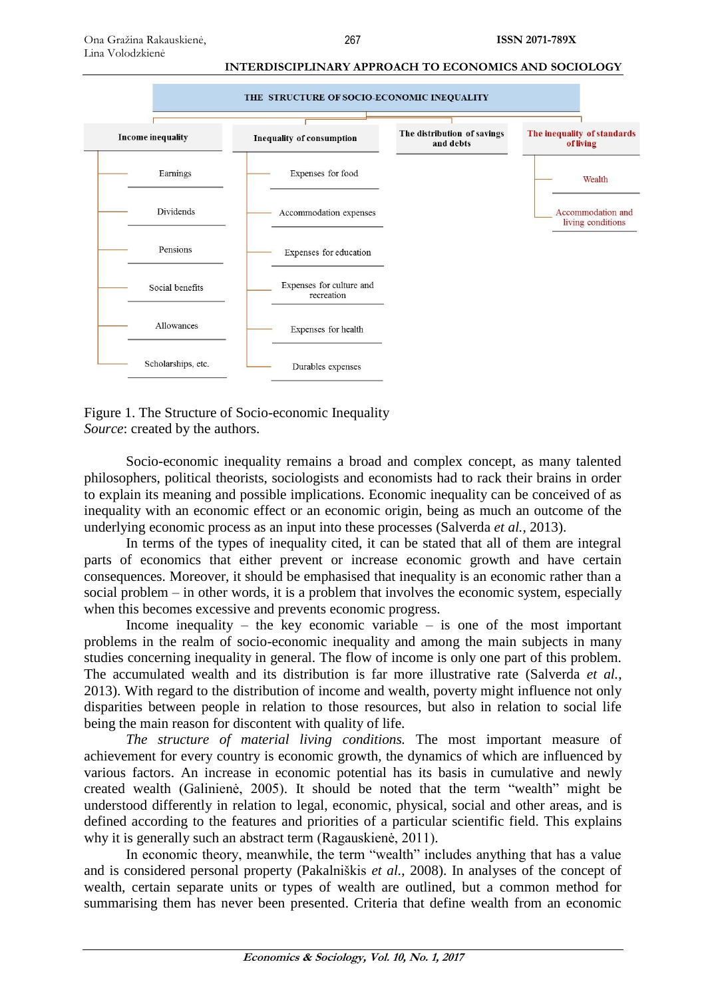

Figure 1. The Structure of Socio-economic Inequality *Source*: created by the authors.

Socio-economic inequality remains a broad and complex concept, as many talented philosophers, political theorists, sociologists and economists had to rack their brains in order to explain its meaning and possible implications. Economic inequality can be conceived of as inequality with an economic effect or an economic origin, being as much an outcome of the underlying economic process as an input into these processes (Salverda *et al.*, 2013).

In terms of the types of inequality cited, it can be stated that all of them are integral parts of economics that either prevent or increase economic growth and have certain consequences. Moreover, it should be emphasised that inequality is an economic rather than a social problem – in other words, it is a problem that involves the economic system, especially when this becomes excessive and prevents economic progress.

Income inequality – the key economic variable – is one of the most important problems in the realm of socio-economic inequality and among the main subjects in many studies concerning inequality in general. The flow of income is only one part of this problem. The accumulated wealth and its distribution is far more illustrative rate (Salverda *et al.*, 2013). With regard to the distribution of income and wealth, poverty might influence not only disparities between people in relation to those resources, but also in relation to social life being the main reason for discontent with quality of life.

*The structure of material living conditions.* The most important measure of achievement for every country is economic growth, the dynamics of which are influenced by various factors. An increase in economic potential has its basis in cumulative and newly created wealth (Galinienė, 2005). It should be noted that the term "wealth" might be understood differently in relation to legal, economic, physical, social and other areas, and is defined according to the features and priorities of a particular scientific field. This explains why it is generally such an abstract term (Ragauskienė, 2011).

In economic theory, meanwhile, the term "wealth" includes anything that has a value and is considered personal property (Pakalniškis *et al.*, 2008). In analyses of the concept of wealth, certain separate units or types of wealth are outlined, but a common method for summarising them has never been presented. Criteria that define wealth from an economic

**ISSN 2071-789X**

**Economics & Sociology, Vol. 10, No. 1, 2017**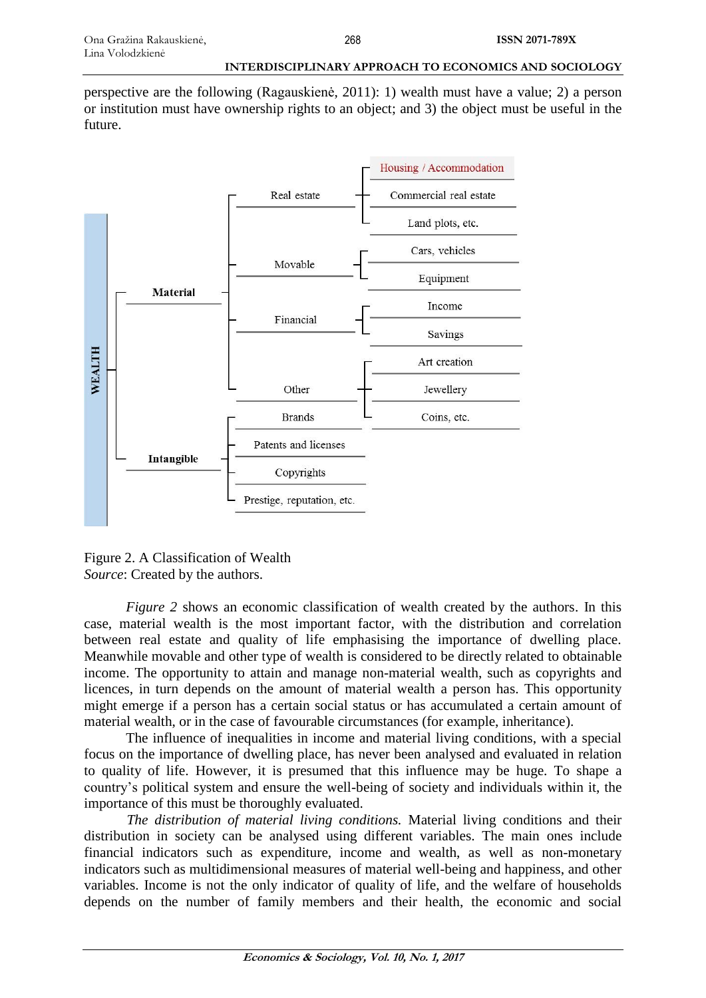perspective are the following (Ragauskienė, 2011): 1) wealth must have a value; 2) a person or institution must have ownership rights to an object; and 3) the object must be useful in the future.



Figure 2. A Classification of Wealth *Source*: Created by the authors.

*Figure 2* shows an economic classification of wealth created by the authors. In this case, material wealth is the most important factor, with the distribution and correlation between real estate and quality of life emphasising the importance of dwelling place. Meanwhile movable and other type of wealth is considered to be directly related to obtainable income. The opportunity to attain and manage non-material wealth, such as copyrights and licences, in turn depends on the amount of material wealth a person has. This opportunity might emerge if a person has a certain social status or has accumulated a certain amount of material wealth, or in the case of favourable circumstances (for example, inheritance).

The influence of inequalities in income and material living conditions, with a special focus on the importance of dwelling place, has never been analysed and evaluated in relation to quality of life. However, it is presumed that this influence may be huge. To shape a country's political system and ensure the well-being of society and individuals within it, the importance of this must be thoroughly evaluated.

*The distribution of material living conditions.* Material living conditions and their distribution in society can be analysed using different variables. The main ones include financial indicators such as expenditure, income and wealth, as well as non-monetary indicators such as multidimensional measures of material well-being and happiness, and other variables. Income is not the only indicator of quality of life, and the welfare of households depends on the number of family members and their health, the economic and social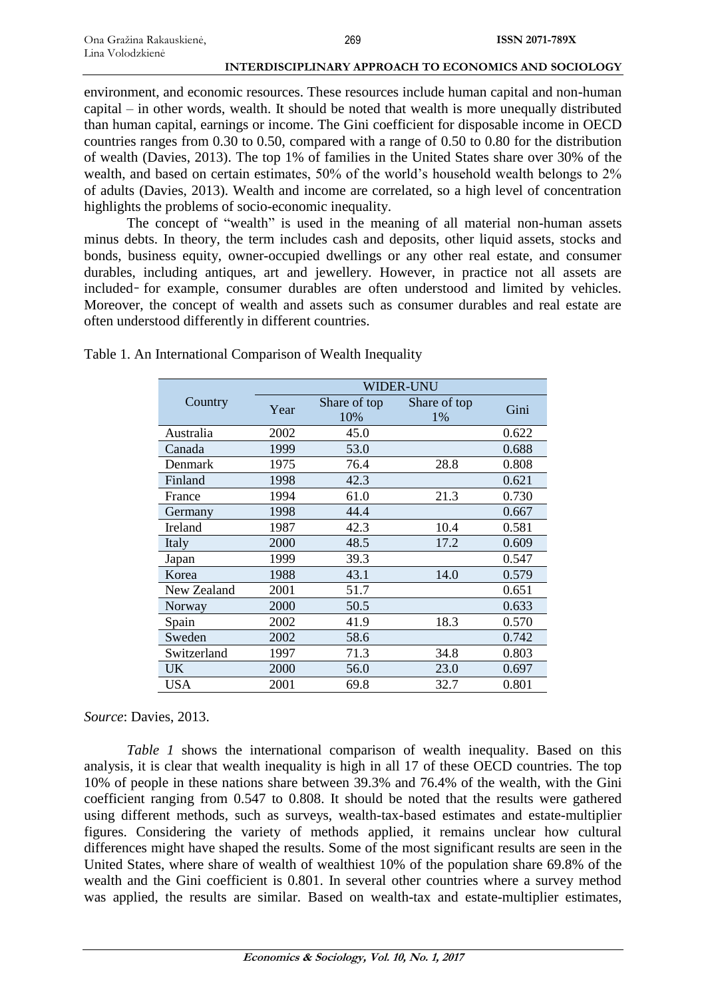environment, and economic resources. These resources include human capital and non-human capital – in other words, wealth. It should be noted that wealth is more unequally distributed than human capital, earnings or income. The Gini coefficient for disposable income in OECD countries ranges from 0.30 to 0.50, compared with a range of 0.50 to 0.80 for the distribution of wealth (Davies, 2013). The top 1% of families in the United States share over 30% of the wealth, and based on certain estimates, 50% of the world's household wealth belongs to 2% of adults (Davies, 2013). Wealth and income are correlated, so a high level of concentration highlights the problems of socio-economic inequality.

The concept of "wealth" is used in the meaning of all material non-human assets minus debts. In theory, the term includes cash and deposits, other liquid assets, stocks and bonds, business equity, owner-occupied dwellings or any other real estate, and consumer durables, including antiques, art and jewellery. However, in practice not all assets are included- for example, consumer durables are often understood and limited by vehicles. Moreover, the concept of wealth and assets such as consumer durables and real estate are often understood differently in different countries.

|             | <b>WIDER-UNU</b> |                     |                    |       |
|-------------|------------------|---------------------|--------------------|-------|
| Country     | Year             | Share of top<br>10% | Share of top<br>1% | Gini  |
| Australia   | 2002             | 45.0                |                    | 0.622 |
| Canada      | 1999             | 53.0                |                    | 0.688 |
| Denmark     | 1975             | 76.4                | 28.8               | 0.808 |
| Finland     | 1998             | 42.3                |                    | 0.621 |
| France      | 1994             | 61.0                | 21.3               | 0.730 |
| Germany     | 1998             | 44.4                |                    | 0.667 |
| Ireland     | 1987             | 42.3                | 10.4               | 0.581 |
| Italy       | 2000             | 48.5                | 17.2               | 0.609 |
| Japan       | 1999             | 39.3                |                    | 0.547 |
| Korea       | 1988             | 43.1                | 14.0               | 0.579 |
| New Zealand | 2001             | 51.7                |                    | 0.651 |
| Norway      | 2000             | 50.5                |                    | 0.633 |
| Spain       | 2002             | 41.9                | 18.3               | 0.570 |
| Sweden      | 2002             | 58.6                |                    | 0.742 |
| Switzerland | 1997             | 71.3                | 34.8               | 0.803 |
| <b>UK</b>   | 2000             | 56.0                | 23.0               | 0.697 |
| USA         | 2001             | 69.8                | 32.7               | 0.801 |

Table 1. An International Comparison of Wealth Inequality

### *Source*: Davies, 2013.

*Table 1* shows the international comparison of wealth inequality. Based on this analysis, it is clear that wealth inequality is high in all 17 of these OECD countries. The top 10% of people in these nations share between 39.3% and 76.4% of the wealth, with the Gini coefficient ranging from 0.547 to 0.808. It should be noted that the results were gathered using different methods, such as surveys, wealth-tax-based estimates and estate-multiplier figures. Considering the variety of methods applied, it remains unclear how cultural differences might have shaped the results. Some of the most significant results are seen in the United States, where share of wealth of wealthiest 10% of the population share 69.8% of the wealth and the Gini coefficient is 0.801. In several other countries where a survey method was applied, the results are similar. Based on wealth-tax and estate-multiplier estimates,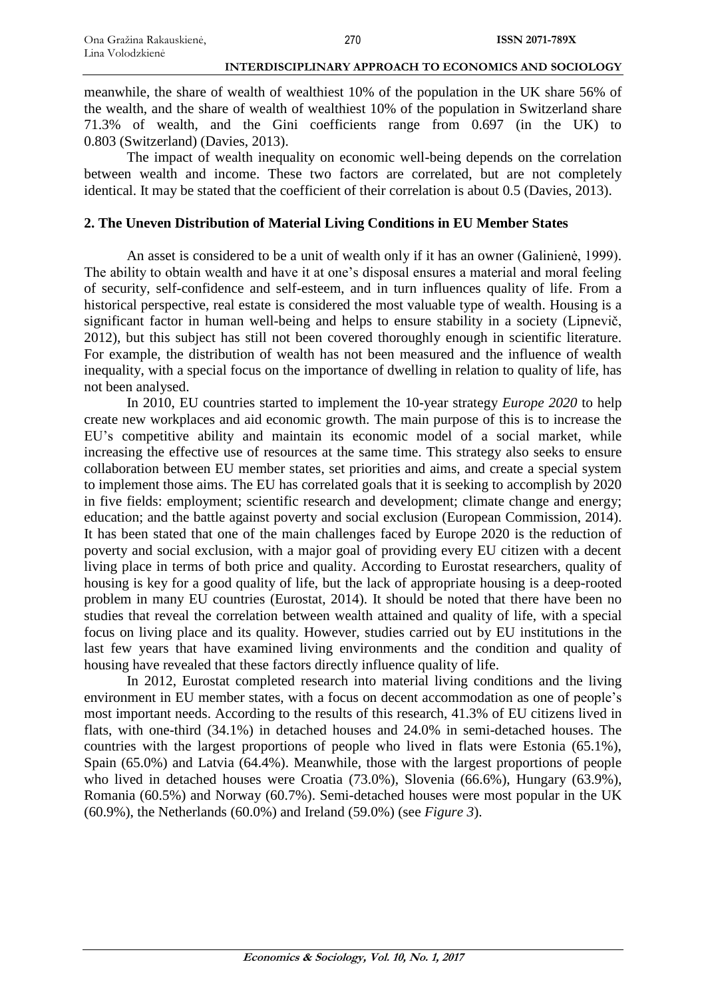meanwhile, the share of wealth of wealthiest 10% of the population in the UK share 56% of the wealth, and the share of wealth of wealthiest 10% of the population in Switzerland share 71.3% of wealth, and the Gini coefficients range from 0.697 (in the UK) to 0.803 (Switzerland) (Davies, 2013).

The impact of wealth inequality on economic well-being depends on the correlation between wealth and income. These two factors are correlated, but are not completely identical. It may be stated that the coefficient of their correlation is about 0.5 (Davies, 2013).

## **2. The Uneven Distribution of Material Living Conditions in EU Member States**

An asset is considered to be a unit of wealth only if it has an owner (Galinienė, 1999). The ability to obtain wealth and have it at one's disposal ensures a material and moral feeling of security, self-confidence and self-esteem, and in turn influences quality of life. From a historical perspective, real estate is considered the most valuable type of wealth. Housing is a significant factor in human well-being and helps to ensure stability in a society (Lipnevič, 2012), but this subject has still not been covered thoroughly enough in scientific literature. For example, the distribution of wealth has not been measured and the influence of wealth inequality, with a special focus on the importance of dwelling in relation to quality of life, has not been analysed.

In 2010, EU countries started to implement the 10-year strategy *Europe 2020* to help create new workplaces and aid economic growth. The main purpose of this is to increase the EU's competitive ability and maintain its economic model of a social market, while increasing the effective use of resources at the same time. This strategy also seeks to ensure collaboration between EU member states, set priorities and aims, and create a special system to implement those aims. The EU has correlated goals that it is seeking to accomplish by 2020 in five fields: employment; scientific research and development; climate change and energy; education; and the battle against poverty and social exclusion (European Commission, 2014). It has been stated that one of the main challenges faced by Europe 2020 is the reduction of poverty and social exclusion, with a major goal of providing every EU citizen with a decent living place in terms of both price and quality. According to Eurostat researchers, quality of housing is key for a good quality of life, but the lack of appropriate housing is a deep-rooted problem in many EU countries (Eurostat, 2014). It should be noted that there have been no studies that reveal the correlation between wealth attained and quality of life, with a special focus on living place and its quality. However, studies carried out by EU institutions in the last few years that have examined living environments and the condition and quality of housing have revealed that these factors directly influence quality of life.

In 2012, Eurostat completed research into material living conditions and the living environment in EU member states, with a focus on decent accommodation as one of people's most important needs. According to the results of this research, 41.3% of EU citizens lived in flats, with one-third (34.1%) in detached houses and 24.0% in semi-detached houses. The countries with the largest proportions of people who lived in flats were Estonia (65.1%), Spain (65.0%) and Latvia (64.4%). Meanwhile, those with the largest proportions of people who lived in detached houses were Croatia (73.0%), Slovenia (66.6%), Hungary (63.9%), Romania (60.5%) and Norway (60.7%). Semi-detached houses were most popular in the UK (60.9%), the Netherlands (60.0%) and Ireland (59.0%) (see *Figure 3*).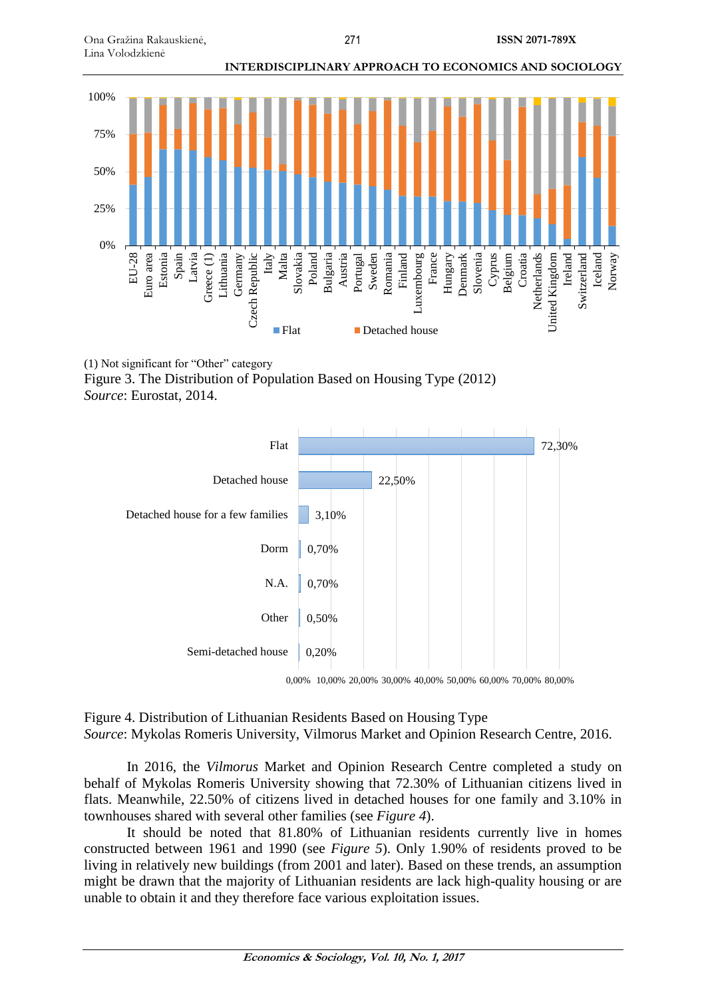

(1) Not significant for "Other" category Figure 3. The Distribution of Population Based on Housing Type (2012) *Source*: Eurostat, 2014.



Figure 4. Distribution of Lithuanian Residents Based on Housing Type *Source*: Mykolas Romeris University, Vilmorus Market and Opinion Research Centre, 2016.

In 2016, the *Vilmorus* Market and Opinion Research Centre completed a study on behalf of Mykolas Romeris University showing that 72.30% of Lithuanian citizens lived in flats. Meanwhile, 22.50% of citizens lived in detached houses for one family and 3.10% in townhouses shared with several other families (see *Figure 4*).

It should be noted that 81.80% of Lithuanian residents currently live in homes constructed between 1961 and 1990 (see *Figure 5*). Only 1.90% of residents proved to be living in relatively new buildings (from 2001 and later). Based on these trends, an assumption might be drawn that the majority of Lithuanian residents are lack high-quality housing or are unable to obtain it and they therefore face various exploitation issues.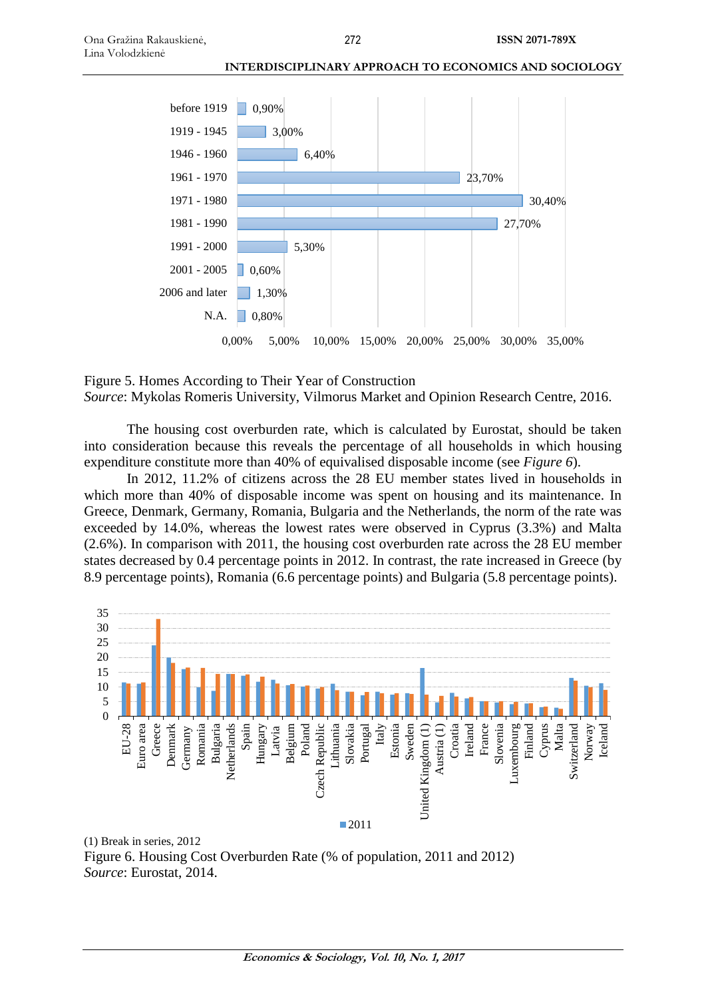



The housing cost overburden rate, which is calculated by Eurostat, should be taken into consideration because this reveals the percentage of all households in which housing expenditure constitute more than 40% of equivalised disposable income (see *Figure 6*).

In 2012, 11.2% of citizens across the 28 EU member states lived in households in which more than 40% of disposable income was spent on housing and its maintenance. In Greece, Denmark, Germany, Romania, Bulgaria and the Netherlands, the norm of the rate was exceeded by 14.0%, whereas the lowest rates were observed in Cyprus (3.3%) and Malta (2.6%). In comparison with 2011, the housing cost overburden rate across the 28 EU member states decreased by 0.4 percentage points in 2012. In contrast, the rate increased in Greece (by 8.9 percentage points), Romania (6.6 percentage points) and Bulgaria (5.8 percentage points).



Figure 6. Housing Cost Overburden Rate (% of population, 2011 and 2012) *Source*: Eurostat, 2014.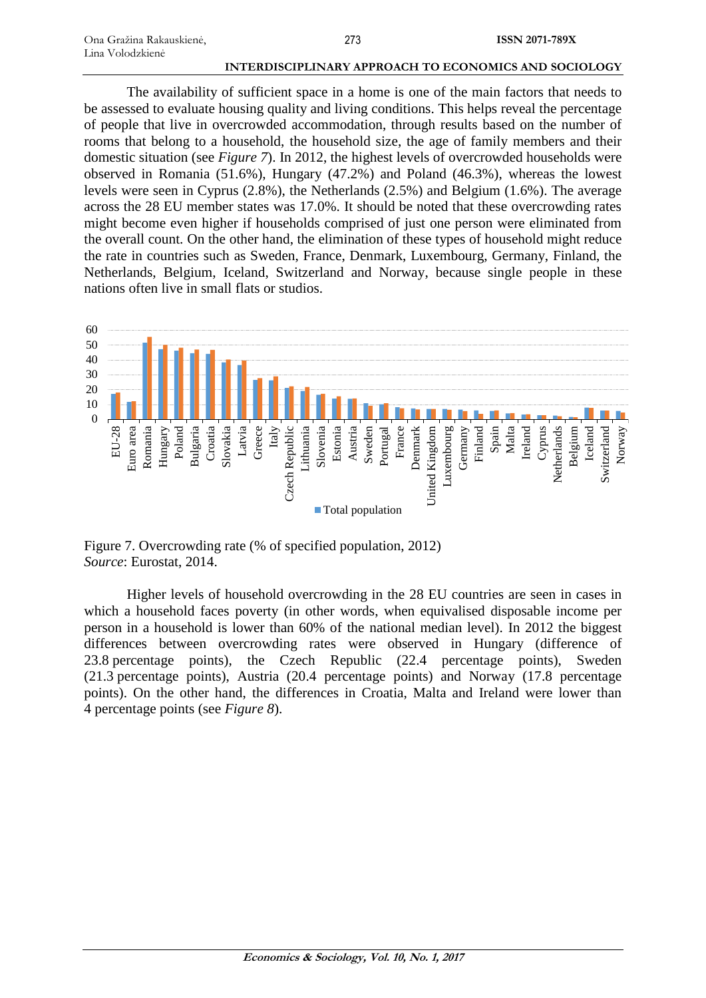The availability of sufficient space in a home is one of the main factors that needs to be assessed to evaluate housing quality and living conditions. This helps reveal the percentage of people that live in overcrowded accommodation, through results based on the number of rooms that belong to a household, the household size, the age of family members and their domestic situation (see *Figure 7*). In 2012, the highest levels of overcrowded households were observed in Romania (51.6%), Hungary (47.2%) and Poland (46.3%), whereas the lowest levels were seen in Cyprus (2.8%), the Netherlands (2.5%) and Belgium (1.6%). The average across the 28 EU member states was 17.0%. It should be noted that these overcrowding rates might become even higher if households comprised of just one person were eliminated from the overall count. On the other hand, the elimination of these types of household might reduce the rate in countries such as Sweden, France, Denmark, Luxembourg, Germany, Finland, the Netherlands, Belgium, Iceland, Switzerland and Norway, because single people in these nations often live in small flats or studios.



Figure 7. Overcrowding rate (% of specified population, 2012) *Source*: Eurostat, 2014.

Higher levels of household overcrowding in the 28 EU countries are seen in cases in which a household faces poverty (in other words, when equivalised disposable income per person in a household is lower than 60% of the national median level). In 2012 the biggest differences between overcrowding rates were observed in Hungary (difference of 23.8 percentage points), the Czech Republic (22.4 percentage points), Sweden (21.3 percentage points), Austria (20.4 percentage points) and Norway (17.8 percentage points). On the other hand, the differences in Croatia, Malta and Ireland were lower than 4 percentage points (see *Figure 8*).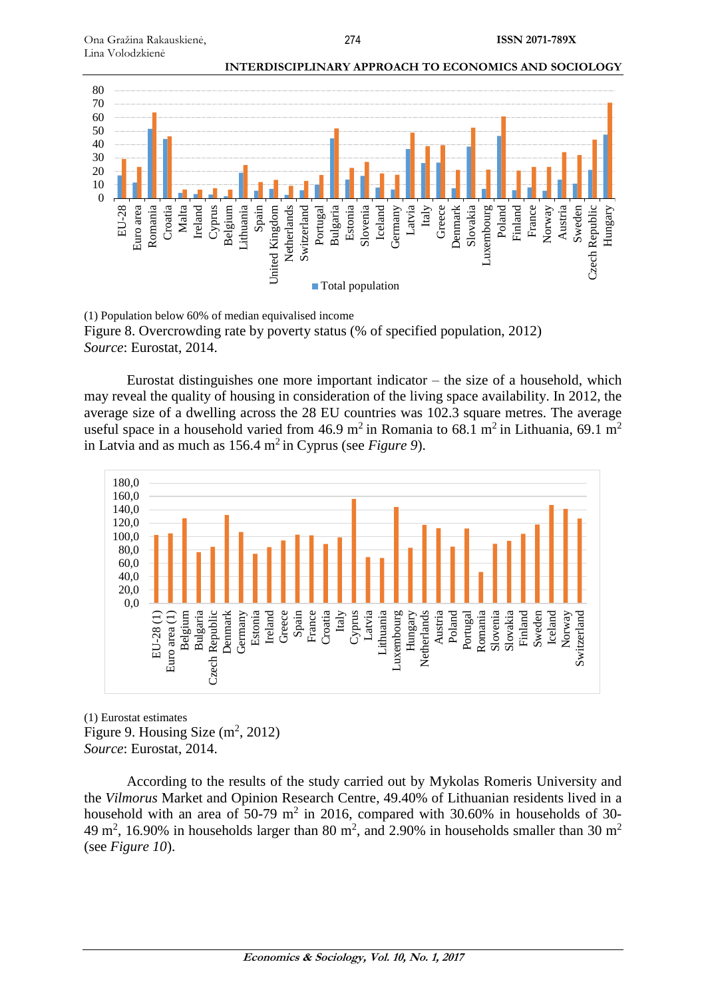

(1) Population below 60% of median equivalised income Figure 8. Overcrowding rate by poverty status (% of specified population, 2012) *Source*: Eurostat, 2014.

Eurostat distinguishes one more important indicator – the size of a household, which may reveal the quality of housing in consideration of the living space availability. In 2012, the average size of a dwelling across the 28 EU countries was 102.3 square metres. The average useful space in a household varied from 46.9 m<sup>2</sup> in Romania to 68.1 m<sup>2</sup> in Lithuania, 69.1 m<sup>2</sup> in Latvia and as much as 156.4 m<sup>2</sup> in Cyprus (see *Figure 9*).



(1) Eurostat estimates Figure 9. Housing Size  $(m^2, 2012)$ *Source*: Eurostat, 2014.

According to the results of the study carried out by Mykolas Romeris University and the *Vilmorus* Market and Opinion Research Centre, 49.40% of Lithuanian residents lived in a household with an area of 50-79  $m^2$  in 2016, compared with 30.60% in households of 30-49 m<sup>2</sup>, 16.90% in households larger than 80 m<sup>2</sup>, and 2.90% in households smaller than 30 m<sup>2</sup> (see *Figure 10*).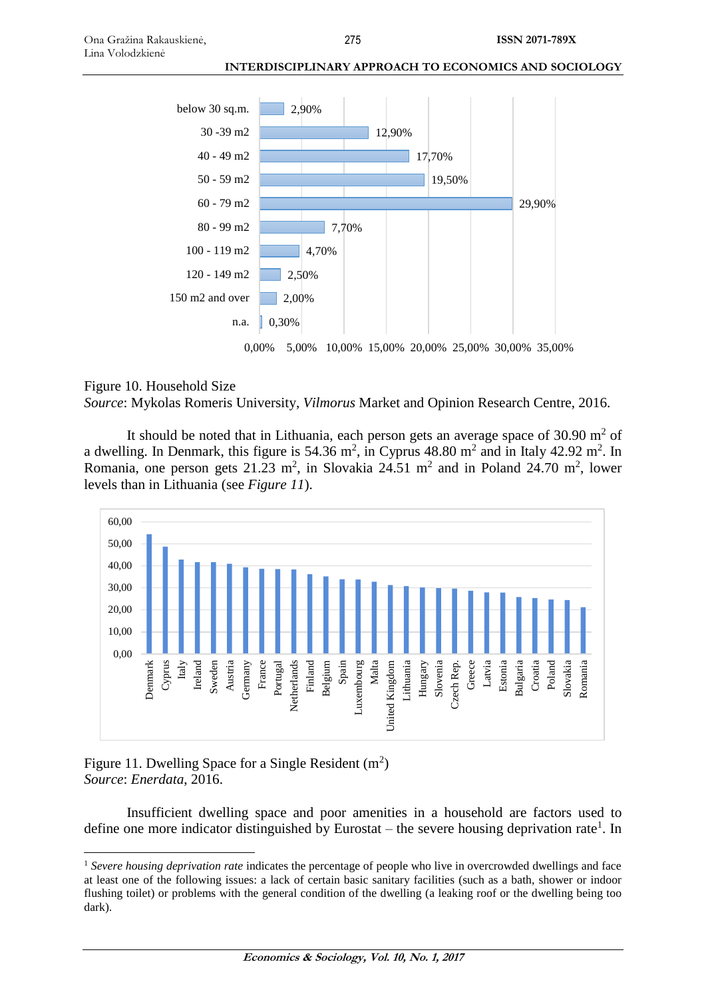

### Figure 10. Household Size

*Source*: Mykolas Romeris University, *Vilmorus* Market and Opinion Research Centre, 2016.

It should be noted that in Lithuania, each person gets an average space of  $30.90 \text{ m}^2$  of a dwelling. In Denmark, this figure is 54.36 m<sup>2</sup>, in Cyprus 48.80 m<sup>2</sup> and in Italy 42.92 m<sup>2</sup>. In Romania, one person gets  $21.23 \text{ m}^2$ , in Slovakia  $24.51 \text{ m}^2$  and in Poland  $24.70 \text{ m}^2$ , lower levels than in Lithuania (see *Figure 11*).



## Figure 11. Dwelling Space for a Single Resident  $(m^2)$ *Source*: *Enerdata*, 2016.

 $\overline{a}$ 

Insufficient dwelling space and poor amenities in a household are factors used to define one more indicator distinguished by Eurostat – the severe housing deprivation rate<sup>1</sup>. In

<sup>&</sup>lt;sup>1</sup> Severe housing deprivation rate indicates the percentage of people who live in overcrowded dwellings and face at least one of the following issues: a lack of certain basic sanitary facilities (such as a bath, shower or indoor flushing toilet) or problems with the general condition of the dwelling (a leaking roof or the dwelling being too dark).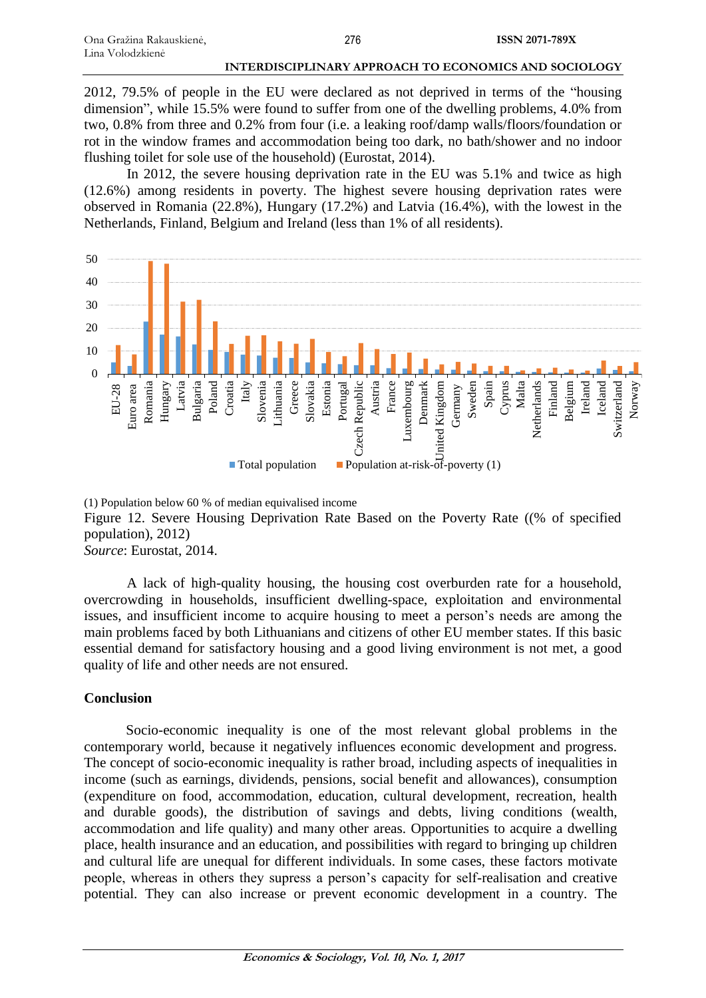2012, 79.5% of people in the EU were declared as not deprived in terms of the "housing dimension", while 15.5% were found to suffer from one of the dwelling problems, 4.0% from two, 0.8% from three and 0.2% from four (i.e. a leaking roof/damp walls/floors/foundation or rot in the window frames and accommodation being too dark, no bath/shower and no indoor flushing toilet for sole use of the household) (Eurostat, 2014).

In 2012, the severe housing deprivation rate in the EU was 5.1% and twice as high (12.6%) among residents in poverty. The highest severe housing deprivation rates were observed in Romania (22.8%), Hungary (17.2%) and Latvia (16.4%), with the lowest in the Netherlands, Finland, Belgium and Ireland (less than 1% of all residents).



(1) Population below 60 % of median equivalised income Figure 12. Severe Housing Deprivation Rate Based on the Poverty Rate ((% of specified population), 2012) *Source*: Eurostat, 2014.

A lack of high-quality housing, the housing cost overburden rate for a household, overcrowding in households, insufficient dwelling-space, exploitation and environmental issues, and insufficient income to acquire housing to meet a person's needs are among the main problems faced by both Lithuanians and citizens of other EU member states. If this basic essential demand for satisfactory housing and a good living environment is not met, a good quality of life and other needs are not ensured.

# **Conclusion**

Socio-economic inequality is one of the most relevant global problems in the contemporary world, because it negatively influences economic development and progress. The concept of socio-economic inequality is rather broad, including aspects of inequalities in income (such as earnings, dividends, pensions, social benefit and allowances), consumption (expenditure on food, accommodation, education, cultural development, recreation, health and durable goods), the distribution of savings and debts, living conditions (wealth, accommodation and life quality) and many other areas. Opportunities to acquire a dwelling place, health insurance and an education, and possibilities with regard to bringing up children and cultural life are unequal for different individuals. In some cases, these factors motivate people, whereas in others they supress a person's capacity for self-realisation and creative potential. They can also increase or prevent economic development in a country. The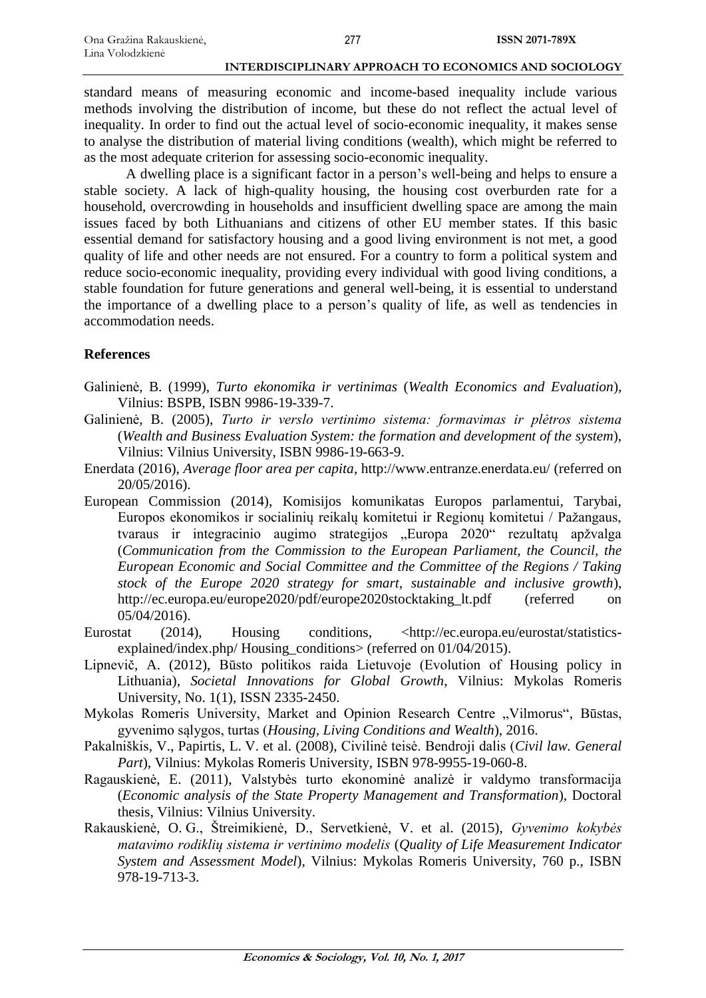standard means of measuring economic and income-based inequality include various methods involving the distribution of income, but these do not reflect the actual level of inequality. In order to find out the actual level of socio-economic inequality, it makes sense to analyse the distribution of material living conditions (wealth), which might be referred to as the most adequate criterion for assessing socio-economic inequality.

A dwelling place is a significant factor in a person's well-being and helps to ensure a stable society. A lack of high-quality housing, the housing cost overburden rate for a household, overcrowding in households and insufficient dwelling space are among the main issues faced by both Lithuanians and citizens of other EU member states. If this basic essential demand for satisfactory housing and a good living environment is not met, a good quality of life and other needs are not ensured. For a country to form a political system and reduce socio-economic inequality, providing every individual with good living conditions, a stable foundation for future generations and general well-being, it is essential to understand the importance of a dwelling place to a person's quality of life, as well as tendencies in accommodation needs.

### **References**

- Galinienė, B. (1999), *Turto ekonomika ir vertinimas* (*Wealth Economics and Evaluation*), Vilnius: BSPB, ISBN 9986-19-339-7.
- Galinienė, B. (2005), *Turto ir verslo vertinimo sistema: formavimas ir plėtros sistema* (*Wealth and Business Evaluation System: the formation and development of the system*), Vilnius: Vilnius University, ISBN 9986-19-663-9.
- Enerdata (2016), *Average floor area per capita*, <http://www.entranze.enerdata.eu/> (referred on 20/05/2016).
- European Commission (2014), Komisijos komunikatas Europos parlamentui, Tarybai, Europos ekonomikos ir socialinių reikalų komitetui ir Regionų komitetui / Pažangaus, tvaraus ir integracinio augimo strategijos "Europa 2020" rezultatų apžvalga (*Communication from the Commission to the European Parliament, the Council, the European Economic and Social Committee and the Committee of the Regions / Taking stock of the Europe 2020 strategy for smart, sustainable and inclusive growth*), [http://ec.europa.eu/europe2020/pdf/europe2020stocktaking\\_lt.pdf](http://ec.europa.eu/europe2020/pdf/europe2020stocktaking_lt.pdf) (referred on 05/04/2016).
- Eurostat (2014), Housing conditions, [<http://ec.europa.eu/eurostat/statistics](http://ec.europa.eu/eurostat/statistics-explained/index.php/%20Housing_conditions)[explained/index.php/ Housing\\_conditions>](http://ec.europa.eu/eurostat/statistics-explained/index.php/%20Housing_conditions) (referred on 01/04/2015).
- Lipnevič, A. (2012), Būsto politikos raida Lietuvoje (Evolution of Housing policy in Lithuania), *Societal Innovations for Global Growth*, Vilnius: Mykolas Romeris University, No. 1(1), ISSN 2335-2450.
- Mykolas Romeris University, Market and Opinion Research Centre "Vilmorus", Būstas, gyvenimo sąlygos, turtas (*Housing, Living Conditions and Wealth*), 2016.
- Pakalniškis, V., Papirtis, L. V. et al. (2008), Civilinė teisė. Bendroji dalis (*Civil law. General Part*), Vilnius: Mykolas Romeris University, ISBN 978-9955-19-060-8.
- Ragauskienė, E. (2011), Valstybės turto ekonominė analizė ir valdymo transformacija (*Economic analysis of the State Property Management and Transformation*), Doctoral thesis, Vilnius: Vilnius University.
- Rakauskienė, O. G., Štreimikienė, D., Servetkienė, V. et al. (2015), *Gyvenimo kokybės matavimo rodiklių sistema ir vertinimo modelis* (*Quality of Life Measurement Indicator System and Assessment Model*), Vilnius: Mykolas Romeris University, 760 p., ISBN 978-19-713-3.